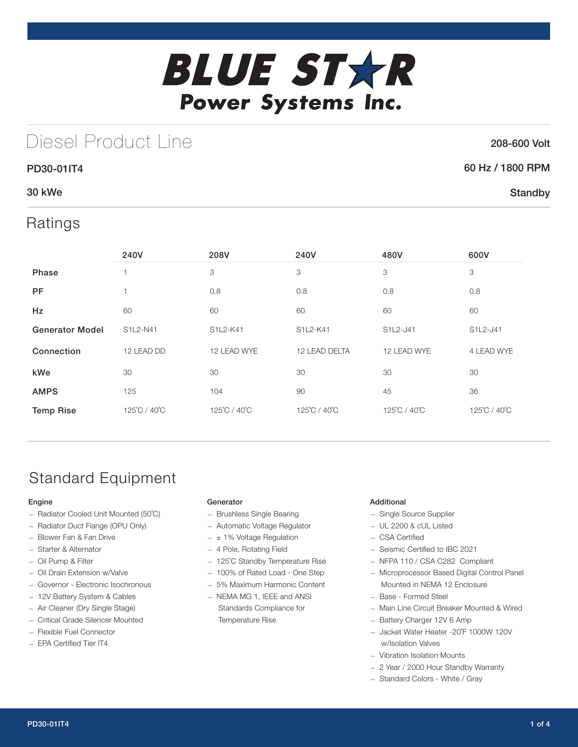

# Diesel Product Line

### 208-600 Volt

**Standby** 

### 60 Hz / 1800 RPM

### 30 kWe

## Ratings

PD30-01IT4

|                        | 240V           | 208V         | 240V          | 480V         | 600V         |
|------------------------|----------------|--------------|---------------|--------------|--------------|
| Phase                  | ٠              | 3            | 3             | 3            | 3            |
| <b>PF</b>              | $\overline{1}$ | 0.8          | 0.8           | 0.8          | 0.8          |
| <b>Hz</b>              | 60             | 60           | 60            | 60           | 60           |
| <b>Generator Model</b> | S1L2-N41       | S1L2-K41     | S1L2-K41      | S1L2-J41     | S1L2-J41     |
| Connection             | 12 LEAD DD     | 12 LEAD WYE  | 12 LEAD DELTA | 12 LEAD WYE  | 4 LEAD WYE   |
| kWe                    | 30             | 30           | 30            | 30           | 30           |
| <b>AMPS</b>            | 125            | 104          | 90            | 45           | 36           |
| <b>Temp Rise</b>       | 125°C / 40°C   | 125°C / 40°C | 125°C / 40°C  | 125°C / 40°C | 125°C / 40°C |

## Standard Equipment

#### Engine

- Radiator Cooled Unit Mounted (50˚C)
- Radiator Duct Flange (OPU Only)
- Blower Fan & Fan Drive
- Starter & Alternator
- Oil Pump & Filter
- Oil Drain Extension w/Valve
- Governor Electronic Isochronous
- 12V Battery System & Cables
- Air Cleaner (Dry Single Stage)
- Critical Grade Silencer Mounted
- Flexible Fuel Connector
- EPA Certified Tier IT4

#### Generator

- Brushless Single Bearing
- Automatic Voltage Regulator
- $\pm$  1% Voltage Regulation
- 4 Pole, Rotating Field
- 125˚C Standby Temperature Rise
- 100% of Rated Load One Step
- 5% Maximum Harmonic Content
- NEMA MG 1, IEEE and ANSI Standards Compliance for Temperature Rise

#### Additional

- Single Source Supplier
- UL 2200 & cUL Listed
- CSA Certified
- Seismic Certified to IBC 2021
- NFPA 110 / CSA C282 Compliant
- Microprocessor Based Digital Control Panel Mounted in NEMA 12 Enclosure
- Base Formed Steel
- Main Line Circuit Breaker Mounted & Wired
- Battery Charger 12V 6 Amp
- Jacket Water Heater -20˚F 1000W 120V w/Isolation Valves
- Vibration Isolation Mounts
- 2 Year / 2000 Hour Standby Warranty
- Standard Colors White / Gray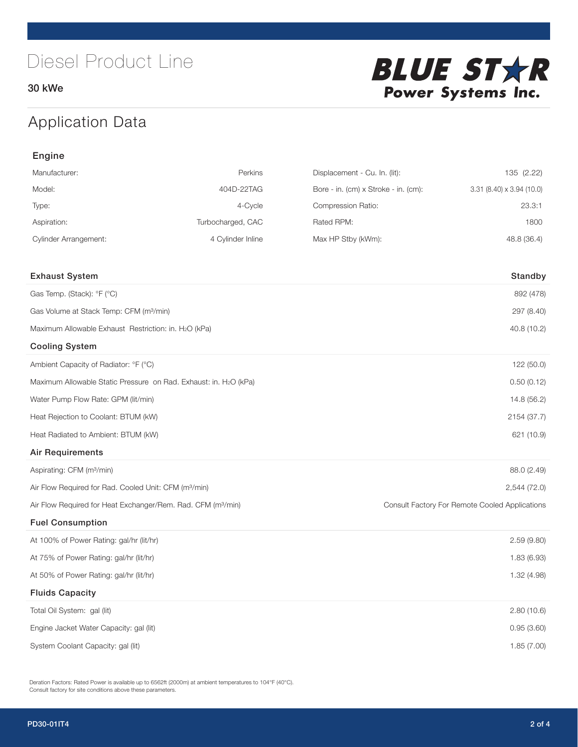30 kWe



## Application Data

| Engine                                                                   |                   |                                      |                                                |  |
|--------------------------------------------------------------------------|-------------------|--------------------------------------|------------------------------------------------|--|
| Manufacturer:                                                            | Perkins           | Displacement - Cu. In. (lit):        | 135 (2.22)                                     |  |
| Model:                                                                   | 404D-22TAG        | Bore - in. (cm) x Stroke - in. (cm): | $3.31$ (8.40) x $3.94$ (10.0)                  |  |
| Type:                                                                    | 4-Cycle           | Compression Ratio:                   | 23.3:1                                         |  |
| Aspiration:                                                              | Turbocharged, CAC | Rated RPM:                           | 1800                                           |  |
| <b>Cylinder Arrangement:</b>                                             | 4 Cylinder Inline | Max HP Stby (kWm):                   | 48.8 (36.4)                                    |  |
|                                                                          |                   |                                      |                                                |  |
| <b>Exhaust System</b>                                                    |                   |                                      | Standby                                        |  |
| Gas Temp. (Stack): °F (°C)                                               |                   |                                      | 892 (478)                                      |  |
| Gas Volume at Stack Temp: CFM (m <sup>3</sup> /min)                      |                   |                                      | 297 (8.40)                                     |  |
| Maximum Allowable Exhaust Restriction: in. H2O (kPa)                     |                   |                                      | 40.8 (10.2)                                    |  |
| <b>Cooling System</b>                                                    |                   |                                      |                                                |  |
| Ambient Capacity of Radiator: °F (°C)                                    |                   |                                      | 122 (50.0)                                     |  |
| Maximum Allowable Static Pressure on Rad. Exhaust: in. H2O (kPa)         |                   | 0.50(0.12)                           |                                                |  |
| Water Pump Flow Rate: GPM (lit/min)                                      |                   |                                      | 14.8 (56.2)                                    |  |
| Heat Rejection to Coolant: BTUM (kW)                                     |                   |                                      | 2154 (37.7)                                    |  |
| Heat Radiated to Ambient: BTUM (kW)                                      |                   |                                      | 621 (10.9)                                     |  |
| <b>Air Requirements</b>                                                  |                   |                                      |                                                |  |
| Aspirating: CFM (m <sup>3</sup> /min)                                    |                   |                                      | 88.0 (2.49)                                    |  |
| Air Flow Required for Rad. Cooled Unit: CFM (m <sup>3</sup> /min)        |                   |                                      | 2,544 (72.0)                                   |  |
| Air Flow Required for Heat Exchanger/Rem. Rad. CFM (m <sup>3</sup> /min) |                   |                                      | Consult Factory For Remote Cooled Applications |  |
| <b>Fuel Consumption</b>                                                  |                   |                                      |                                                |  |
| At 100% of Power Rating: gal/hr (lit/hr)                                 |                   |                                      | 2.59(9.80)                                     |  |
| At 75% of Power Rating: gal/hr (lit/hr)                                  |                   | 1.83 (6.93)                          |                                                |  |
| At 50% of Power Rating: gal/hr (lit/hr)                                  |                   |                                      | 1.32 (4.98)                                    |  |
| <b>Fluids Capacity</b>                                                   |                   |                                      |                                                |  |
| Total Oil System: gal (lit)                                              |                   |                                      | 2.80(10.6)                                     |  |
| Engine Jacket Water Capacity: gal (lit)                                  |                   |                                      | 0.95(3.60)                                     |  |
| System Coolant Capacity: gal (lit)                                       |                   |                                      | 1.85 (7.00)                                    |  |

Deration Factors: Rated Power is available up to 6562ft (2000m) at ambient temperatures to 104°F (40°C). Consult factory for site conditions above these parameters.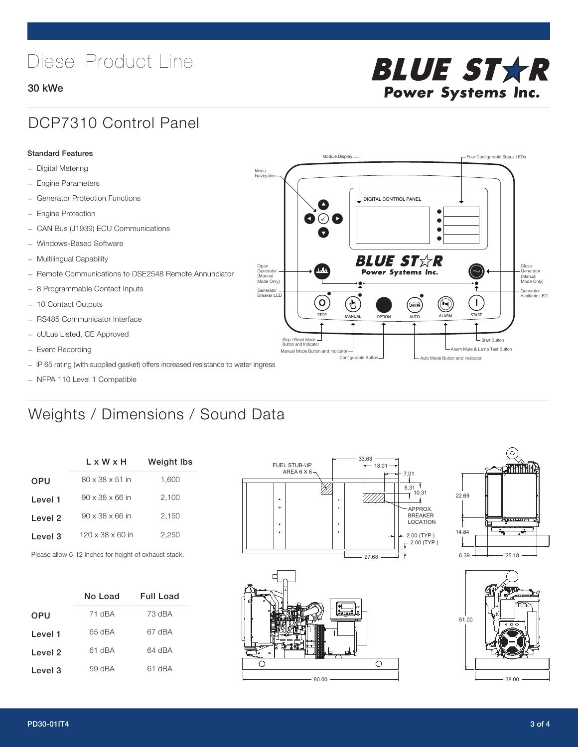# Diesel Product Line

### 30 kWe

# **BLUE STAR Power Systems Inc.**

## DCP7310 Control Panel

### Standard Features

- Digital Metering
- Engine Parameters
- Generator Protection Functions
- Engine Protection
- CAN Bus (J1939) ECU Communications
- Windows-Based Software
- Multilingual Capability
- Remote Communications to DSE2548 Remote Annunciator
- 8 Programmable Contact Inputs
- 10 Contact Outputs
- RS485 Communicator Interface
- cULus Listed, CE Approved
- Event Recording
- IP 65 rating (with supplied gasket) offers increased resistance to water ingress
- NFPA 110 Level 1 Compatible

## Weights / Dimensions / Sound Data

|                    | L x W x H                    | <b>Weight lbs</b> |  |  |
|--------------------|------------------------------|-------------------|--|--|
| <b>OPU</b>         | $80 \times 38 \times 51$ in  | 1,600             |  |  |
| Level 1            | $90 \times 38 \times 66$ in  | 2.100             |  |  |
| Level <sub>2</sub> | $90 \times 38 \times 66$ in  | 2.150             |  |  |
| Level 3            | $120 \times 38 \times 60$ in | 2.250             |  |  |
|                    |                              |                   |  |  |

Please allow 6-12 inches for height of exhaust stack.

|            | No Load | Full Load |
|------------|---------|-----------|
| <b>OPU</b> | 71 dBA  | 73 dBA    |
| Level 1    | 65 dBA  | 67 dBA    |
| Level 2    | 61 dBA  | 64 dBA    |
| Level 3    | 59 dBA  | 61 dBA    |



STOP MANUAL OPTION AUTO ALARM START

.<br>[AUTO]

**BLUE STAR** Power Systems Inc.

Manual Mode Button and Indicator Sultane Mute & Lamp Test Button Mute & Lamp Test Button Mute & Lamp Test Button Configurable Button -  $\Box$  Auto Mode Button and Indicator

DIGITAL CONTROL PANEL

Module Display  $\Box$ 

 $\bullet$  $\bullet$  $\bullet$ 

 $\circledcirc$ 

Menu Navigation

Open Generator (Manual Mode Only)

Generator Breaker LED

Stop / Reset Mode Button and Indicator

 $\bullet$  $\bullet$   $\circ$   $\bullet$ 

 $\sigma$ 

՟Պ





L Start Button

 $\blacksquare$ 

Close Generator (Manual Mode Only)

Generator Available LED